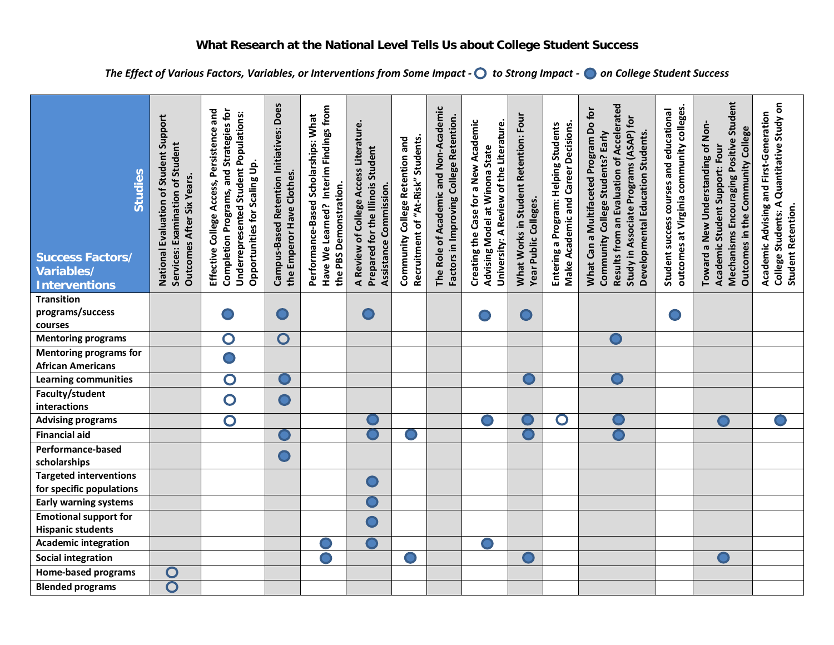*The Effect of Various Factors, Variables, or Interventions from Some Impact - to Strong Impact - on College Student Success*

| Studies<br><b>Success Factors/</b><br>Variables/<br><b>Interventions</b> | National Evaluation of Student Support<br>Services: Examination of Student<br>Outcomes After Six Years. | Effective College Access, Persistence and<br>Completion Programs, and Strategies for<br>Underrepresented Student Populations:<br>Opportunities for Scaling Up. | Campus-Based Retention Initiatives: Does<br>the Emperor Have Clothes. | Have We Learned? Interim Findings from<br>Performance-Based Scholarships: What<br>the PBS Demonstration. | A Review of College Access Literature<br>Prepared for the Illinois Student<br>Assistance Commission. | Recruitment of "At-Risk" Students.<br>Community College Retention and | The Role of Academic and Non-Academic<br>Factors in Improving College Retention. | Creating the Case for a New Academic<br>University: A Review of the Literature.<br>Advising Model at Winona State | What Works in Student Retention: Four<br>Year Public Colleges. | Entering a Program: Helping Students<br><b>Make Academic and Career Decisions</b> | Results from an Evaluation of Accelerated<br>What Can a Multifaceted Program Do for<br>Study in Associate Programs (ASAP) for<br>Developmental Education Students.<br>Community College Students? Early | outcomes at Virginia community colleges<br>Student success courses and educational | Mechanisms Encouraging Positive Student<br>Toward a New Understanding of Non-<br>Outcomes in the Community College<br>Academic Student Support: Four | College Students: A Quantitative Study on<br>Academic Advising and First-Generation<br><b>Student Retention.</b> |
|--------------------------------------------------------------------------|---------------------------------------------------------------------------------------------------------|----------------------------------------------------------------------------------------------------------------------------------------------------------------|-----------------------------------------------------------------------|----------------------------------------------------------------------------------------------------------|------------------------------------------------------------------------------------------------------|-----------------------------------------------------------------------|----------------------------------------------------------------------------------|-------------------------------------------------------------------------------------------------------------------|----------------------------------------------------------------|-----------------------------------------------------------------------------------|---------------------------------------------------------------------------------------------------------------------------------------------------------------------------------------------------------|------------------------------------------------------------------------------------|------------------------------------------------------------------------------------------------------------------------------------------------------|------------------------------------------------------------------------------------------------------------------|
| <b>Transition</b><br>programs/success<br>courses                         |                                                                                                         |                                                                                                                                                                |                                                                       |                                                                                                          |                                                                                                      |                                                                       |                                                                                  |                                                                                                                   |                                                                |                                                                                   |                                                                                                                                                                                                         |                                                                                    |                                                                                                                                                      |                                                                                                                  |
| <b>Mentoring programs</b>                                                |                                                                                                         | $\mathbf O$                                                                                                                                                    | $\overline{\mathbf{O}}$                                               |                                                                                                          |                                                                                                      |                                                                       |                                                                                  |                                                                                                                   |                                                                |                                                                                   |                                                                                                                                                                                                         |                                                                                    |                                                                                                                                                      |                                                                                                                  |
| <b>Mentoring programs for</b><br><b>African Americans</b>                |                                                                                                         |                                                                                                                                                                |                                                                       |                                                                                                          |                                                                                                      |                                                                       |                                                                                  |                                                                                                                   |                                                                |                                                                                   |                                                                                                                                                                                                         |                                                                                    |                                                                                                                                                      |                                                                                                                  |
| <b>Learning communities</b>                                              |                                                                                                         | $\overline{\mathbf{O}}$                                                                                                                                        |                                                                       |                                                                                                          |                                                                                                      |                                                                       |                                                                                  |                                                                                                                   |                                                                |                                                                                   |                                                                                                                                                                                                         |                                                                                    |                                                                                                                                                      |                                                                                                                  |
| Faculty/student<br>interactions                                          |                                                                                                         | $\overline{\mathbf{O}}$                                                                                                                                        | $\bullet$                                                             |                                                                                                          |                                                                                                      |                                                                       |                                                                                  |                                                                                                                   |                                                                |                                                                                   |                                                                                                                                                                                                         |                                                                                    |                                                                                                                                                      |                                                                                                                  |
| <b>Advising programs</b>                                                 |                                                                                                         | $\overline{\mathbf{O}}$                                                                                                                                        |                                                                       |                                                                                                          |                                                                                                      |                                                                       |                                                                                  |                                                                                                                   |                                                                | $\mathbf O$                                                                       |                                                                                                                                                                                                         |                                                                                    |                                                                                                                                                      |                                                                                                                  |
| <b>Financial aid</b>                                                     |                                                                                                         |                                                                                                                                                                |                                                                       |                                                                                                          |                                                                                                      |                                                                       |                                                                                  |                                                                                                                   |                                                                |                                                                                   |                                                                                                                                                                                                         |                                                                                    |                                                                                                                                                      |                                                                                                                  |
| Performance-based<br>scholarships                                        |                                                                                                         |                                                                                                                                                                |                                                                       |                                                                                                          |                                                                                                      |                                                                       |                                                                                  |                                                                                                                   |                                                                |                                                                                   |                                                                                                                                                                                                         |                                                                                    |                                                                                                                                                      |                                                                                                                  |
| <b>Targeted interventions</b><br>for specific populations                |                                                                                                         |                                                                                                                                                                |                                                                       |                                                                                                          |                                                                                                      |                                                                       |                                                                                  |                                                                                                                   |                                                                |                                                                                   |                                                                                                                                                                                                         |                                                                                    |                                                                                                                                                      |                                                                                                                  |
| <b>Early warning systems</b>                                             |                                                                                                         |                                                                                                                                                                |                                                                       |                                                                                                          |                                                                                                      |                                                                       |                                                                                  |                                                                                                                   |                                                                |                                                                                   |                                                                                                                                                                                                         |                                                                                    |                                                                                                                                                      |                                                                                                                  |
| <b>Emotional support for</b><br><b>Hispanic students</b>                 |                                                                                                         |                                                                                                                                                                |                                                                       |                                                                                                          |                                                                                                      |                                                                       |                                                                                  |                                                                                                                   |                                                                |                                                                                   |                                                                                                                                                                                                         |                                                                                    |                                                                                                                                                      |                                                                                                                  |
| <b>Academic integration</b>                                              |                                                                                                         |                                                                                                                                                                |                                                                       |                                                                                                          |                                                                                                      |                                                                       |                                                                                  |                                                                                                                   |                                                                |                                                                                   |                                                                                                                                                                                                         |                                                                                    |                                                                                                                                                      |                                                                                                                  |
| <b>Social integration</b>                                                |                                                                                                         |                                                                                                                                                                |                                                                       |                                                                                                          |                                                                                                      |                                                                       |                                                                                  |                                                                                                                   |                                                                |                                                                                   |                                                                                                                                                                                                         |                                                                                    |                                                                                                                                                      |                                                                                                                  |
| <b>Home-based programs</b>                                               | $\mathbf O$                                                                                             |                                                                                                                                                                |                                                                       |                                                                                                          |                                                                                                      |                                                                       |                                                                                  |                                                                                                                   |                                                                |                                                                                   |                                                                                                                                                                                                         |                                                                                    |                                                                                                                                                      |                                                                                                                  |
| <b>Blended programs</b>                                                  | $\overline{\mathsf{O}}$                                                                                 |                                                                                                                                                                |                                                                       |                                                                                                          |                                                                                                      |                                                                       |                                                                                  |                                                                                                                   |                                                                |                                                                                   |                                                                                                                                                                                                         |                                                                                    |                                                                                                                                                      |                                                                                                                  |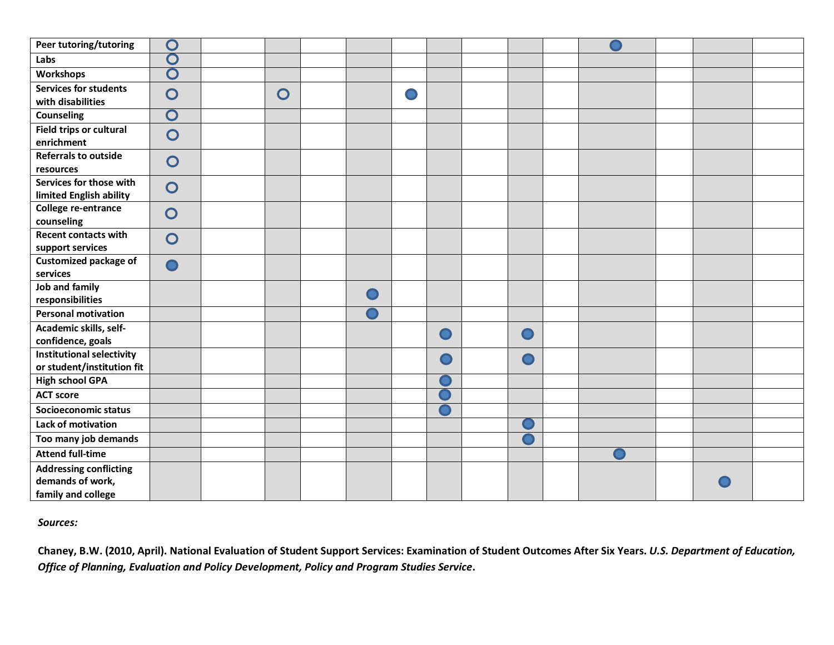| Peer tutoring/tutoring                         | $\mathbf O$                             |                |  |           |   |  |  |  |
|------------------------------------------------|-----------------------------------------|----------------|--|-----------|---|--|--|--|
| Labs                                           | O                                       |                |  |           |   |  |  |  |
| Workshops                                      | $\overline{\mathbf{O}}$                 |                |  |           |   |  |  |  |
| <b>Services for students</b>                   | $\overline{O}$                          | $\overline{O}$ |  |           |   |  |  |  |
| with disabilities                              |                                         |                |  |           |   |  |  |  |
| <b>Counseling</b>                              | $\mathbf O$                             |                |  |           |   |  |  |  |
| Field trips or cultural<br>enrichment          | $\overline{O}$                          |                |  |           |   |  |  |  |
| <b>Referrals to outside</b>                    |                                         |                |  |           |   |  |  |  |
| resources                                      | $\overline{O}$                          |                |  |           |   |  |  |  |
| Services for those with                        | $\overline{O}$                          |                |  |           |   |  |  |  |
| limited English ability<br>College re-entrance |                                         |                |  |           |   |  |  |  |
| counseling                                     | $\overline{O}$                          |                |  |           |   |  |  |  |
| <b>Recent contacts with</b>                    |                                         |                |  |           |   |  |  |  |
| support services                               | $\overline{O}$                          |                |  |           |   |  |  |  |
| <b>Customized package of</b>                   | $\mathbf{\mathbf{\mathbf{\mathsf{O}}}}$ |                |  |           |   |  |  |  |
| services                                       |                                         |                |  |           |   |  |  |  |
| Job and family                                 |                                         |                |  |           |   |  |  |  |
| responsibilities                               |                                         |                |  |           |   |  |  |  |
| <b>Personal motivation</b>                     |                                         |                |  |           |   |  |  |  |
| Academic skills, self-                         |                                         |                |  | $\bullet$ |   |  |  |  |
| confidence, goals                              |                                         |                |  |           |   |  |  |  |
| <b>Institutional selectivity</b>               |                                         |                |  |           | D |  |  |  |
| or student/institution fit                     |                                         |                |  |           |   |  |  |  |
| <b>High school GPA</b><br><b>ACT score</b>     |                                         |                |  |           |   |  |  |  |
|                                                |                                         |                |  |           |   |  |  |  |
| Socioeconomic status                           |                                         |                |  |           |   |  |  |  |
| Lack of motivation                             |                                         |                |  |           |   |  |  |  |
| Too many job demands                           |                                         |                |  |           |   |  |  |  |
| <b>Attend full-time</b>                        |                                         |                |  |           |   |  |  |  |
| <b>Addressing conflicting</b>                  |                                         |                |  |           |   |  |  |  |
| demands of work,                               |                                         |                |  |           |   |  |  |  |
| family and college                             |                                         |                |  |           |   |  |  |  |

*Sources:*

**Chaney, B.W. (2010, April). National Evaluation of Student Support Services: Examination of Student Outcomes After Six Years.** *U.S. Department of Education, Office of Planning, Evaluation and Policy Development, Policy and Program Studies Service***.**